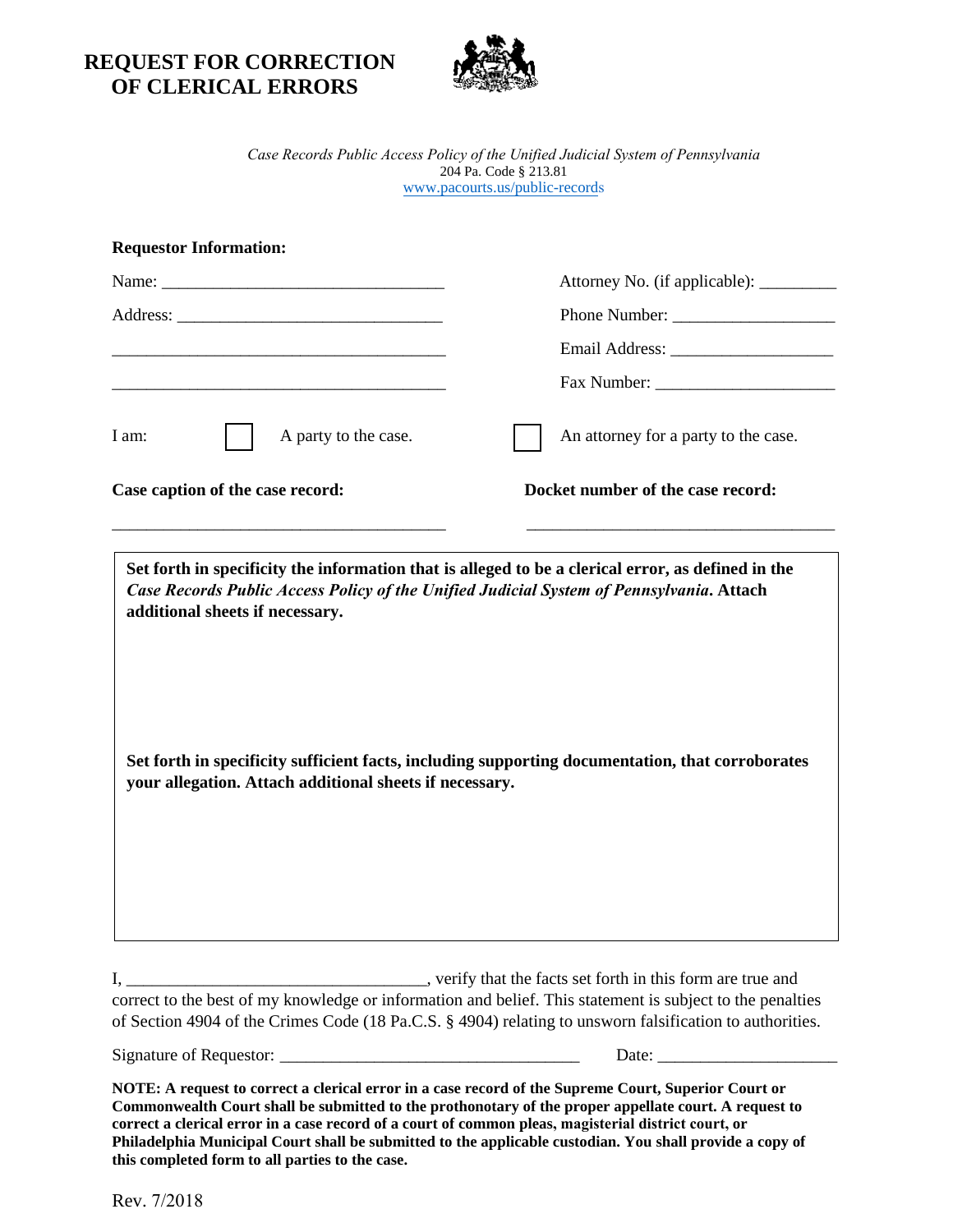**REQUEST FOR CORRECTION OF CLERICAL ERRORS** 



*Case Records Public Access Policy of the Unified Judicial System of Pennsylvania* 204 Pa. Code § 213.81 www.pacourts.us/public-records

| <b>Requestor Information:</b>    |                                         |
|----------------------------------|-----------------------------------------|
|                                  | Attorney No. (if applicable): _________ |
|                                  |                                         |
|                                  |                                         |
|                                  |                                         |
| I am:<br>A party to the case.    | An attorney for a party to the case.    |
| Case caption of the case record: | Docket number of the case record:       |

\_\_\_\_\_\_\_\_\_\_\_\_\_\_\_\_\_\_\_\_\_\_\_\_\_\_\_\_\_\_\_\_\_\_\_\_\_\_\_ \_\_\_\_\_\_\_\_\_\_\_\_\_\_\_\_\_\_\_\_\_\_\_\_\_\_\_\_\_\_\_\_\_\_\_\_

**Set forth in specificity the information that is alleged to be a clerical error, as defined in the**  *Case Records Public Access Policy of the Unified Judicial System of Pennsylvania***. Attach additional sheets if necessary.** 

**Set forth in specificity sufficient facts, including supporting documentation, that corroborates your allegation. Attach additional sheets if necessary.**

I, \_\_\_\_\_\_\_\_\_\_\_\_\_\_\_\_\_\_\_\_\_\_\_\_\_\_\_\_\_\_\_\_\_\_\_, verify that the facts set forth in this form are true and correct to the best of my knowledge or information and belief. This statement is subject to the penalties of Section 4904 of the Crimes Code (18 Pa.C.S. § 4904) relating to unsworn falsification to authorities.

Signature of Requestor: \_\_\_\_\_\_\_\_\_\_\_\_\_\_\_\_\_\_\_\_\_\_\_\_\_\_\_\_\_\_\_\_\_\_\_ Date: \_\_\_\_\_\_\_\_\_\_\_\_\_\_\_\_\_\_\_\_\_

**NOTE: A request to correct a clerical error in a case record of the Supreme Court, Superior Court or Commonwealth Court shall be submitted to the prothonotary of the proper appellate court. A request to correct a clerical error in a case record of a court of common pleas, magisterial district court, or Philadelphia Municipal Court shall be submitted to the applicable custodian. You shall provide a copy of this completed form to all parties to the case.**